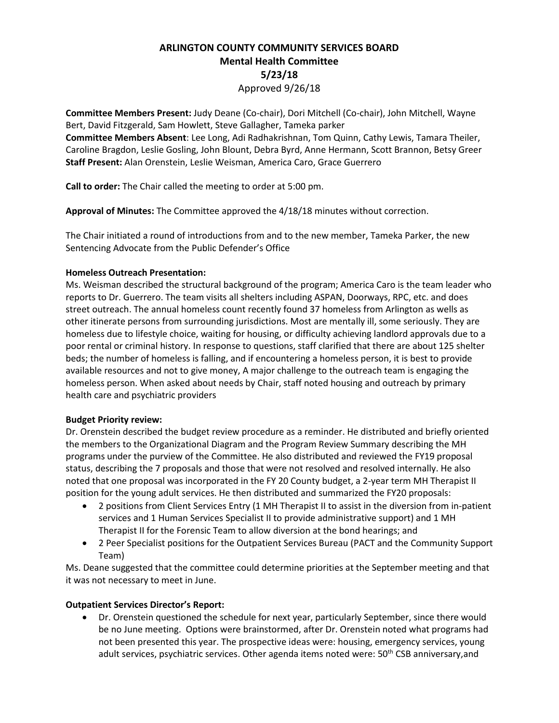# **ARLINGTON COUNTY COMMUNITY SERVICES BOARD Mental Health Committee 5/23/18** Approved 9/26/18

**Committee Members Present:** Judy Deane (Co-chair), Dori Mitchell (Co-chair), John Mitchell, Wayne Bert, David Fitzgerald, Sam Howlett, Steve Gallagher, Tameka parker

**Committee Members Absent**: Lee Long, Adi Radhakrishnan, Tom Quinn, Cathy Lewis, Tamara Theiler, Caroline Bragdon, Leslie Gosling, John Blount, Debra Byrd, Anne Hermann, Scott Brannon, Betsy Greer **Staff Present:** Alan Orenstein, Leslie Weisman, America Caro, Grace Guerrero

**Call to order:** The Chair called the meeting to order at 5:00 pm.

**Approval of Minutes:** The Committee approved the 4/18/18 minutes without correction.

The Chair initiated a round of introductions from and to the new member, Tameka Parker, the new Sentencing Advocate from the Public Defender's Office

### **Homeless Outreach Presentation:**

Ms. Weisman described the structural background of the program; America Caro is the team leader who reports to Dr. Guerrero. The team visits all shelters including ASPAN, Doorways, RPC, etc. and does street outreach. The annual homeless count recently found 37 homeless from Arlington as wells as other itinerate persons from surrounding jurisdictions. Most are mentally ill, some seriously. They are homeless due to lifestyle choice, waiting for housing, or difficulty achieving landlord approvals due to a poor rental or criminal history. In response to questions, staff clarified that there are about 125 shelter beds; the number of homeless is falling, and if encountering a homeless person, it is best to provide available resources and not to give money, A major challenge to the outreach team is engaging the homeless person. When asked about needs by Chair, staff noted housing and outreach by primary health care and psychiatric providers

### **Budget Priority review:**

Dr. Orenstein described the budget review procedure as a reminder. He distributed and briefly oriented the members to the Organizational Diagram and the Program Review Summary describing the MH programs under the purview of the Committee. He also distributed and reviewed the FY19 proposal status, describing the 7 proposals and those that were not resolved and resolved internally. He also noted that one proposal was incorporated in the FY 20 County budget, a 2-year term MH Therapist II position for the young adult services. He then distributed and summarized the FY20 proposals:

- 2 positions from Client Services Entry (1 MH Therapist II to assist in the diversion from in-patient services and 1 Human Services Specialist II to provide administrative support) and 1 MH Therapist II for the Forensic Team to allow diversion at the bond hearings; and
- 2 Peer Specialist positions for the Outpatient Services Bureau (PACT and the Community Support Team)

Ms. Deane suggested that the committee could determine priorities at the September meeting and that it was not necessary to meet in June.

## **Outpatient Services Director's Report:**

• Dr. Orenstein questioned the schedule for next year, particularly September, since there would be no June meeting. Options were brainstormed, after Dr. Orenstein noted what programs had not been presented this year. The prospective ideas were: housing, emergency services, young adult services, psychiatric services. Other agenda items noted were: 50<sup>th</sup> CSB anniversary, and